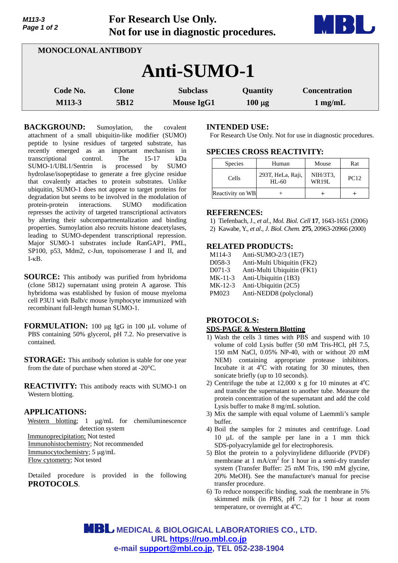| Page 1 of 2         | Not for use in diagnostic procedures. |                                      |                         |                                           |  |
|---------------------|---------------------------------------|--------------------------------------|-------------------------|-------------------------------------------|--|
| MONOCLONAL ANTIBODY |                                       |                                      |                         |                                           |  |
| <b>Anti-SUMO-1</b>  |                                       |                                      |                         |                                           |  |
| Code No.<br>M113-3  | <b>Clone</b><br>5B12                  | <b>Subclass</b><br><b>Mouse IgG1</b> | Quantity<br>$100 \mu g$ | <b>Concentration</b><br>$1 \text{ mg/mL}$ |  |

**For Research Use Only.**

BACKGROUND: Sumoylation, the covalent attachment of a small ubiquitin-like modifier (SUMO) peptide to lysine residues of targeted substrate, has recently emerged as an important mechanism in transcriptional control. The 15-17 kDa SUMO-1/UBL1/Sentrin is processed by SUMO hydrolase/isopeptidase to generate a free glycine residue that covalently attaches to protein substrates. Unlike ubiquitin, SUMO-1 does not appear to target proteins for degradation but seems to be involved in the modulation of protein-protein interactions. SUMO modification represses the activity of targeted transcriptional activators by altering their subcompartmentalization and binding properties. Sumoylation also recruits histone deacetylases, leading to SUMO-dependent transcriptional repression. Major SUMO-1 substrates include RanGAP1, PML, SP100, p53, Mdm2, c-Jun, topoisomerase I and II, and  $I - \kappa B$ .

**SOURCE:** This antibody was purified from hybridoma (clone 5B12) supernatant using protein A agarose. This hybridoma was established by fusion of mouse myeloma cell P3U1 with Balb/c mouse lymphocyte immunized with recombinant full-length human SUMO-1.

**FORMULATION:** 100 ug IgG in 100 uL volume of PBS containing 50% glycerol, pH 7.2. No preservative is contained.

**STORAGE:** This antibody solution is stable for one year from the date of purchase when stored at -20°C.

**REACTIVITY:** This antibody reacts with SUMO-1 on Western blotting.

### **APPLICATIONS:**

*M113-3* 

Western blotting;  $1 \mu g/mL$  for chemiluminescence detection system Immunoprecipitation; Not tested Immunohistochemistry; Not recommended Immunocytochemistry; 5 µg/mL Flow cytometry; Not tested

Detailed procedure is provided in the following **PROTOCOLS**.

## **INTENDED USE:**

For Research Use Only. Not for use in diagnostic procedures.

## **SPECIES CROSS REACTIVITY:**

| <b>Species</b>   | Human                          | Mouse                    | Rat         |
|------------------|--------------------------------|--------------------------|-------------|
| Cells            | 293T, HeLa, Raji,<br>$HI - 60$ | NIH/3T3,<br><b>WR19L</b> | <b>PC12</b> |
| Reactivity on WB |                                |                          |             |

#### **REFERENCES:**

1) Tiefenbach, J., *et al*., *Mol. Biol. Cell* **17**, 1643-1651 (2006)

2) Kawabe, Y., *et al*., *J. Biol. Chem.* **275**, 20963-20966 (2000)

## **RELATED PRODUCTS:**

| M114-3    | Anti-SUMO-2/3 (1E7)        |
|-----------|----------------------------|
| D058-3    | Anti-Multi Ubiquitin (FK2) |
| $D071-3$  | Anti-Multi Ubiquitin (FK1) |
| $MK-11-3$ | Anti-Ubiquitin (1B3)       |
| $MK-12-3$ | Anti-Ubiquitin (2C5)       |
| PM023     | Anti-NEDD8 (polyclonal)    |

# **PROTOCOLS: SDS-PAGE & Western Blotting**

- 1) Wash the cells 3 times with PBS and suspend with 10 volume of cold Lysis buffer (50 mM Tris-HCl, pH 7.5, 150 mM NaCl, 0.05% NP-40, with or without 20 mM NEM) containing appropriate protease inhibitors. Incubate it at  $4^{\circ}$ C with rotating for 30 minutes, then sonicate briefly (up to 10 seconds).
- 2) Centrifuge the tube at 12,000 x g for 10 minutes at  $4^{\circ}$ C and transfer the supernatant to another tube. Measure the protein concentration of the supernatant and add the cold Lysis buffer to make 8 mg/mL solution.
- 3) Mix the sample with equal volume of Laemmli's sample buffer.
- 4) Boil the samples for 2 minutes and centrifuge. Load 10  $\mu$ L of the sample per lane in a 1 mm thick SDS-polyacrylamide gel for electrophoresis.
- 5) Blot the protein to a polyvinylidene difluoride (PVDF) membrane at  $1 \text{ mA/cm}^2$  for  $1 \text{ hour}$  in a semi-dry transfer system (Transfer Buffer: 25 mM Tris, 190 mM glycine, 20% MeOH). See the manufacture's manual for precise transfer procedure.
- 6) To reduce nonspecific binding, soak the membrane in 5% skimmed milk (in PBS, pH 7.2) for 1 hour at room temperature, or overnight at 4°C.

**MBL** MEDICAL & BIOLOGICAL LABORATORIES CO., LTD. **URL https://ruo.mbl.co.jp e-mail support@mbl.co.jp, TEL 052-238-1904**